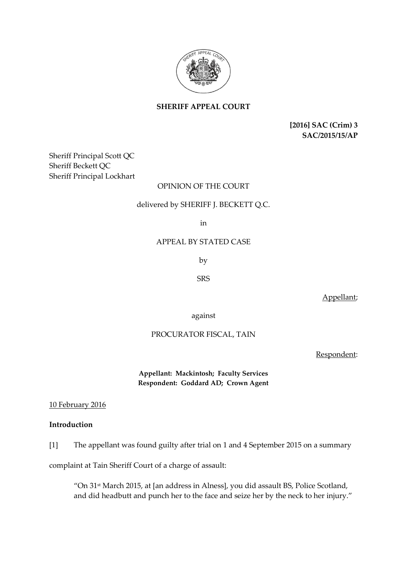

**SHERIFF APPEAL COURT**

**[2016] SAC (Crim) 3 SAC/2015/15/AP**

Sheriff Principal Scott QC Sheriff Beckett QC Sheriff Principal Lockhart

# OPINION OF THE COURT

# delivered by SHERIFF J. BECKETT Q.C.

in

### APPEAL BY STATED CASE

by

SRS

Appellant;

against

## PROCURATOR FISCAL, TAIN

Respondent:

**Appellant: Mackintosh; Faculty Services Respondent: Goddard AD; Crown Agent** 

### 10 February 2016

## **Introduction**

[1] The appellant was found guilty after trial on 1 and 4 September 2015 on a summary

complaint at Tain Sheriff Court of a charge of assault:

"On 31st March 2015, at [an address in Alness], you did assault BS, Police Scotland, and did headbutt and punch her to the face and seize her by the neck to her injury."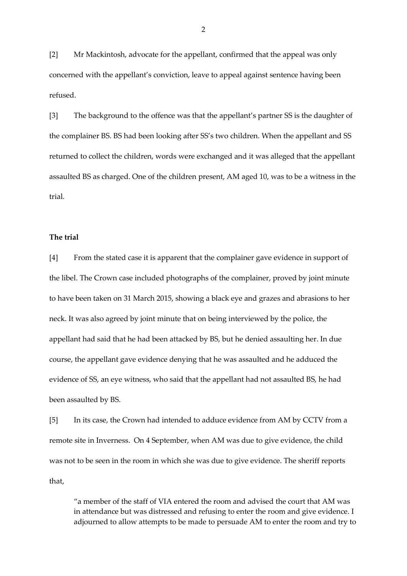[2] Mr Mackintosh, advocate for the appellant, confirmed that the appeal was only concerned with the appellant's conviction, leave to appeal against sentence having been refused.

[3] The background to the offence was that the appellant's partner SS is the daughter of the complainer BS. BS had been looking after SS's two children. When the appellant and SS returned to collect the children, words were exchanged and it was alleged that the appellant assaulted BS as charged. One of the children present, AM aged 10, was to be a witness in the trial.

## **The trial**

[4] From the stated case it is apparent that the complainer gave evidence in support of the libel. The Crown case included photographs of the complainer, proved by joint minute to have been taken on 31 March 2015, showing a black eye and grazes and abrasions to her neck. It was also agreed by joint minute that on being interviewed by the police, the appellant had said that he had been attacked by BS, but he denied assaulting her. In due course, the appellant gave evidence denying that he was assaulted and he adduced the evidence of SS, an eye witness, who said that the appellant had not assaulted BS, he had been assaulted by BS.

[5] In its case, the Crown had intended to adduce evidence from AM by CCTV from a remote site in Inverness. On 4 September, when AM was due to give evidence, the child was not to be seen in the room in which she was due to give evidence. The sheriff reports that,

"a member of the staff of VIA entered the room and advised the court that AM was in attendance but was distressed and refusing to enter the room and give evidence. I adjourned to allow attempts to be made to persuade AM to enter the room and try to

2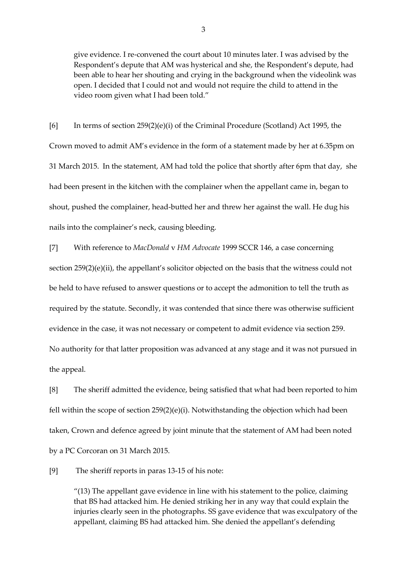give evidence. I re-convened the court about 10 minutes later. I was advised by the Respondent's depute that AM was hysterical and she, the Respondent's depute, had been able to hear her shouting and crying in the background when the videolink was open. I decided that I could not and would not require the child to attend in the video room given what I had been told."

[6] In terms of section 259(2)(e)(i) of the Criminal Procedure (Scotland) Act 1995, the Crown moved to admit AM's evidence in the form of a statement made by her at 6.35pm on 31 March 2015. In the statement, AM had told the police that shortly after 6pm that day, she had been present in the kitchen with the complainer when the appellant came in, began to shout, pushed the complainer, head-butted her and threw her against the wall. He dug his nails into the complainer's neck, causing bleeding.

[7] With reference to *MacDonald* v *HM Advocate* 1999 SCCR 146, a case concerning section 259(2)(e)(ii), the appellant's solicitor objected on the basis that the witness could not be held to have refused to answer questions or to accept the admonition to tell the truth as required by the statute. Secondly, it was contended that since there was otherwise sufficient evidence in the case, it was not necessary or competent to admit evidence via section 259. No authority for that latter proposition was advanced at any stage and it was not pursued in the appeal.

[8] The sheriff admitted the evidence, being satisfied that what had been reported to him fell within the scope of section  $259(2)(e)(i)$ . Notwithstanding the objection which had been taken, Crown and defence agreed by joint minute that the statement of AM had been noted by a PC Corcoran on 31 March 2015.

[9] The sheriff reports in paras 13-15 of his note:

"(13) The appellant gave evidence in line with his statement to the police, claiming that BS had attacked him. He denied striking her in any way that could explain the injuries clearly seen in the photographs. SS gave evidence that was exculpatory of the appellant, claiming BS had attacked him. She denied the appellant's defending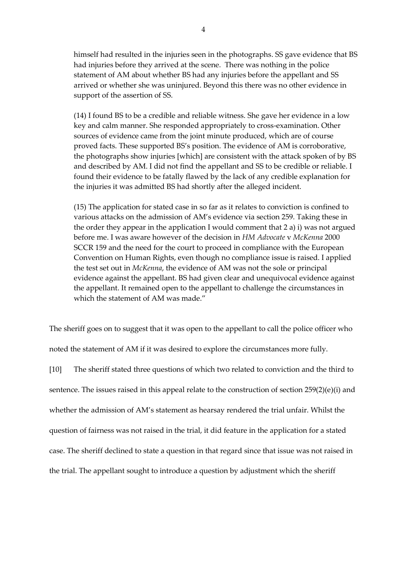himself had resulted in the injuries seen in the photographs. SS gave evidence that BS had injuries before they arrived at the scene. There was nothing in the police statement of AM about whether BS had any injuries before the appellant and SS arrived or whether she was uninjured. Beyond this there was no other evidence in support of the assertion of SS.

(14) I found BS to be a credible and reliable witness. She gave her evidence in a low key and calm manner. She responded appropriately to cross-examination. Other sources of evidence came from the joint minute produced, which are of course proved facts. These supported BS's position. The evidence of AM is corroborative, the photographs show injuries [which] are consistent with the attack spoken of by BS and described by AM. I did not find the appellant and SS to be credible or reliable. I found their evidence to be fatally flawed by the lack of any credible explanation for the injuries it was admitted BS had shortly after the alleged incident.

(15) The application for stated case in so far as it relates to conviction is confined to various attacks on the admission of AM's evidence via section 259. Taking these in the order they appear in the application I would comment that 2 a) i) was not argued before me. I was aware however of the decision in *HM Advocate* v *McKenna* 2000 SCCR 159 and the need for the court to proceed in compliance with the European Convention on Human Rights, even though no compliance issue is raised. I applied the test set out in *McKenna*, the evidence of AM was not the sole or principal evidence against the appellant. BS had given clear and unequivocal evidence against the appellant. It remained open to the appellant to challenge the circumstances in which the statement of AM was made."

The sheriff goes on to suggest that it was open to the appellant to call the police officer who noted the statement of AM if it was desired to explore the circumstances more fully.

[10] The sheriff stated three questions of which two related to conviction and the third to sentence. The issues raised in this appeal relate to the construction of section 259(2)(e)(i) and whether the admission of AM's statement as hearsay rendered the trial unfair. Whilst the question of fairness was not raised in the trial, it did feature in the application for a stated case. The sheriff declined to state a question in that regard since that issue was not raised in the trial. The appellant sought to introduce a question by adjustment which the sheriff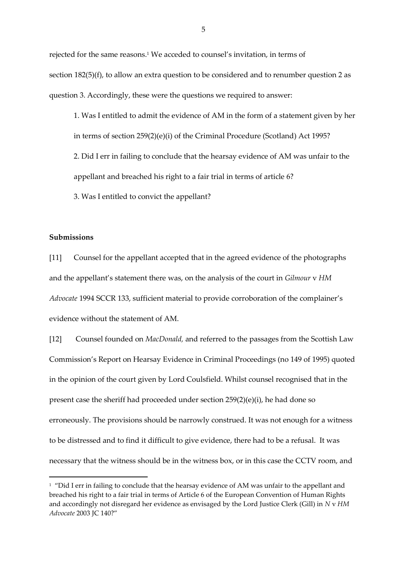rejected for the same reasons.<sup>1</sup> We acceded to counsel's invitation, in terms of section 182(5)(f), to allow an extra question to be considered and to renumber question 2 as question 3. Accordingly, these were the questions we required to answer:

1. Was I entitled to admit the evidence of AM in the form of a statement given by her in terms of section 259(2)(e)(i) of the Criminal Procedure (Scotland) Act 1995? 2. Did I err in failing to conclude that the hearsay evidence of AM was unfair to the appellant and breached his right to a fair trial in terms of article 6? 3. Was I entitled to convict the appellant?

#### **Submissions**

 $\overline{a}$ 

[11] Counsel for the appellant accepted that in the agreed evidence of the photographs and the appellant's statement there was, on the analysis of the court in *Gilmour* v *HM Advocate* 1994 SCCR 133, sufficient material to provide corroboration of the complainer's evidence without the statement of AM.

[12] Counsel founded on *MacDonald,* and referred to the passages from the Scottish Law Commission's Report on Hearsay Evidence in Criminal Proceedings (no 149 of 1995) quoted in the opinion of the court given by Lord Coulsfield. Whilst counsel recognised that in the present case the sheriff had proceeded under section 259(2)(e)(i), he had done so erroneously. The provisions should be narrowly construed. It was not enough for a witness to be distressed and to find it difficult to give evidence, there had to be a refusal. It was necessary that the witness should be in the witness box, or in this case the CCTV room, and

<sup>&</sup>lt;sup>1</sup> "Did I err in failing to conclude that the hearsay evidence of AM was unfair to the appellant and breached his right to a fair trial in terms of Article 6 of the European Convention of Human Rights and accordingly not disregard her evidence as envisaged by the Lord Justice Clerk (Gill) in *N* v *HM Advocate* 2003 JC 140?"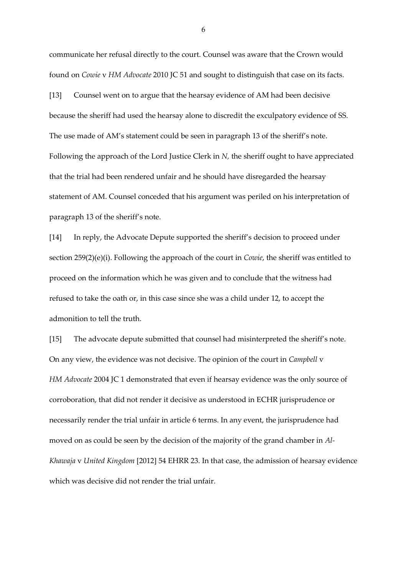communicate her refusal directly to the court. Counsel was aware that the Crown would found on *Cowie* v *HM Advocate* 2010 JC 51 and sought to distinguish that case on its facts.

[13] Counsel went on to argue that the hearsay evidence of AM had been decisive because the sheriff had used the hearsay alone to discredit the exculpatory evidence of SS. The use made of AM's statement could be seen in paragraph 13 of the sheriff's note. Following the approach of the Lord Justice Clerk in *N,* the sheriff ought to have appreciated that the trial had been rendered unfair and he should have disregarded the hearsay statement of AM. Counsel conceded that his argument was periled on his interpretation of paragraph 13 of the sheriff's note.

[14] In reply, the Advocate Depute supported the sheriff's decision to proceed under section 259(2)(e)(i). Following the approach of the court in *Cowie*, the sheriff was entitled to proceed on the information which he was given and to conclude that the witness had refused to take the oath or, in this case since she was a child under 12, to accept the admonition to tell the truth.

[15] The advocate depute submitted that counsel had misinterpreted the sheriff's note. On any view, the evidence was not decisive. The opinion of the court in *Campbell* v *HM Advocate* 2004 JC 1 demonstrated that even if hearsay evidence was the only source of corroboration, that did not render it decisive as understood in ECHR jurisprudence or necessarily render the trial unfair in article 6 terms. In any event, the jurisprudence had moved on as could be seen by the decision of the majority of the grand chamber in *Al-Khawaja* v *United Kingdom* [2012] 54 EHRR 23. In that case, the admission of hearsay evidence which was decisive did not render the trial unfair.

6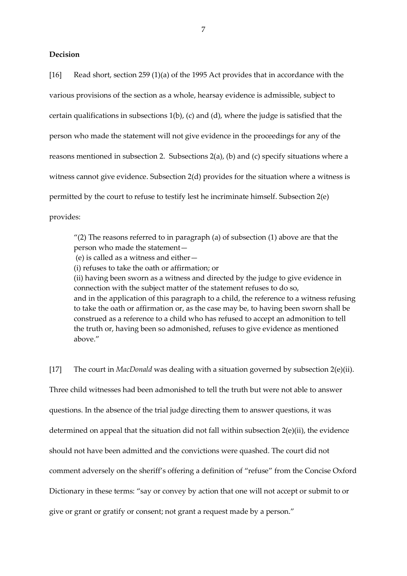### **Decision**

[16] Read short, section 259 (1)(a) of the 1995 Act provides that in accordance with the various provisions of the section as a whole, hearsay evidence is admissible, subject to certain qualifications in subsections 1(b), (c) and (d), where the judge is satisfied that the person who made the statement will not give evidence in the proceedings for any of the reasons mentioned in subsection 2. Subsections 2(a), (b) and (c) specify situations where a witness cannot give evidence. Subsection 2(d) provides for the situation where a witness is permitted by the court to refuse to testify lest he incriminate himself. Subsection 2(e) provides:

"(2) The reasons referred to in paragraph (a) of subsection (1) above are that the person who made the statement—

(e) is called as a witness and either—

(i) refuses to take the oath or affirmation; or

(ii) having been sworn as a witness and directed by the judge to give evidence in connection with the subject matter of the statement refuses to do so, and in the application of this paragraph to a child, the reference to a witness refusing to take the oath or affirmation or, as the case may be, to having been sworn shall be construed as a reference to a child who has refused to accept an admonition to tell the truth or, having been so admonished, refuses to give evidence as mentioned above."

[17] The court in *MacDonald* was dealing with a situation governed by subsection 2(e)(ii). Three child witnesses had been admonished to tell the truth but were not able to answer questions. In the absence of the trial judge directing them to answer questions, it was determined on appeal that the situation did not fall within subsection 2(e)(ii), the evidence should not have been admitted and the convictions were quashed. The court did not comment adversely on the sheriff's offering a definition of "refuse" from the Concise Oxford Dictionary in these terms: "say or convey by action that one will not accept or submit to or give or grant or gratify or consent; not grant a request made by a person."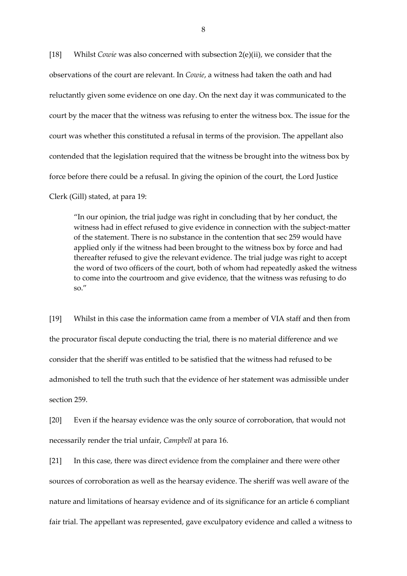[18] Whilst *Cowie* was also concerned with subsection 2(e)(ii), we consider that the observations of the court are relevant. In *Cowie*, a witness had taken the oath and had reluctantly given some evidence on one day. On the next day it was communicated to the court by the macer that the witness was refusing to enter the witness box. The issue for the court was whether this constituted a refusal in terms of the provision. The appellant also contended that the legislation required that the witness be brought into the witness box by force before there could be a refusal. In giving the opinion of the court, the Lord Justice Clerk (Gill) stated, at para 19:

"In our opinion, the trial judge was right in concluding that by her conduct, the witness had in effect refused to give evidence in connection with the subject-matter of the statement. There is no substance in the contention that sec 259 would have applied only if the witness had been brought to the witness box by force and had thereafter refused to give the relevant evidence. The trial judge was right to accept the word of two officers of the court, both of whom had repeatedly asked the witness to come into the courtroom and give evidence, that the witness was refusing to do so."

[19] Whilst in this case the information came from a member of VIA staff and then from the procurator fiscal depute conducting the trial, there is no material difference and we consider that the sheriff was entitled to be satisfied that the witness had refused to be admonished to tell the truth such that the evidence of her statement was admissible under section 259.

[20] Even if the hearsay evidence was the only source of corroboration, that would not necessarily render the trial unfair, *Campbell* at para 16.

[21] In this case, there was direct evidence from the complainer and there were other sources of corroboration as well as the hearsay evidence. The sheriff was well aware of the nature and limitations of hearsay evidence and of its significance for an article 6 compliant fair trial. The appellant was represented, gave exculpatory evidence and called a witness to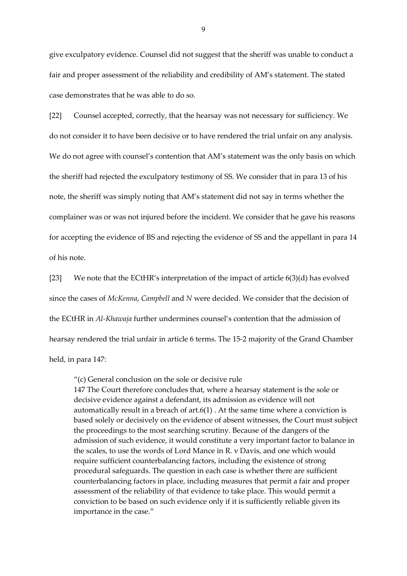give exculpatory evidence. Counsel did not suggest that the sheriff was unable to conduct a fair and proper assessment of the reliability and credibility of AM's statement. The stated case demonstrates that he was able to do so.

[22] Counsel accepted, correctly, that the hearsay was not necessary for sufficiency. We do not consider it to have been decisive or to have rendered the trial unfair on any analysis. We do not agree with counsel's contention that AM's statement was the only basis on which the sheriff had rejected the exculpatory testimony of SS. We consider that in para 13 of his note, the sheriff was simply noting that AM's statement did not say in terms whether the complainer was or was not injured before the incident. We consider that he gave his reasons for accepting the evidence of BS and rejecting the evidence of SS and the appellant in para 14 of his note.

[23] We note that the ECtHR's interpretation of the impact of article 6(3)(d) has evolved since the cases of *McKenna*, *Campbell* and *N* were decided. We consider that the decision of the ECtHR in *Al-Khawaja* further undermines counsel's contention that the admission of hearsay rendered the trial unfair in article 6 terms. The 15-2 majority of the Grand Chamber held, in para 147:

"(c) General conclusion on the sole or decisive rule

147 The Court therefore concludes that, where a hearsay statement is the sole or decisive evidence against a defendant, its admission as evidence will not automatically result in a breach of  $art.6(1)$ . At the same time where a conviction is based solely or decisively on the evidence of absent witnesses, the Court must subject the proceedings to the most searching scrutiny. Because of the dangers of the admission of such evidence, it would constitute a very important factor to balance in the scales, to use the words of Lord Mance in R. v Davis, and one which would require sufficient counterbalancing factors, including the existence of strong procedural safeguards. The question in each case is whether there are sufficient counterbalancing factors in place, including measures that permit a fair and proper assessment of the reliability of that evidence to take place. This would permit a conviction to be based on such evidence only if it is sufficiently reliable given its importance in the case."

9